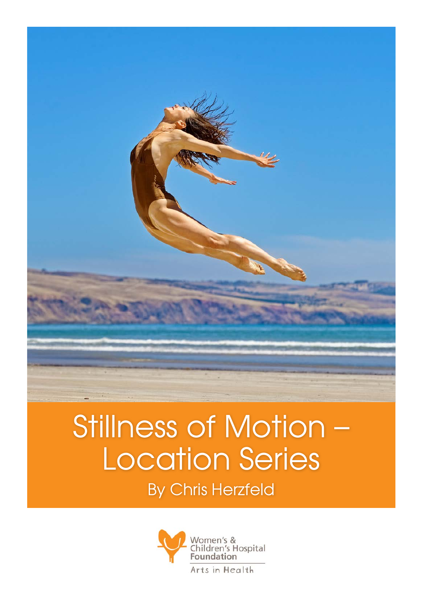

## Stillness of Motion – Location Series

By Chris Herzfeld

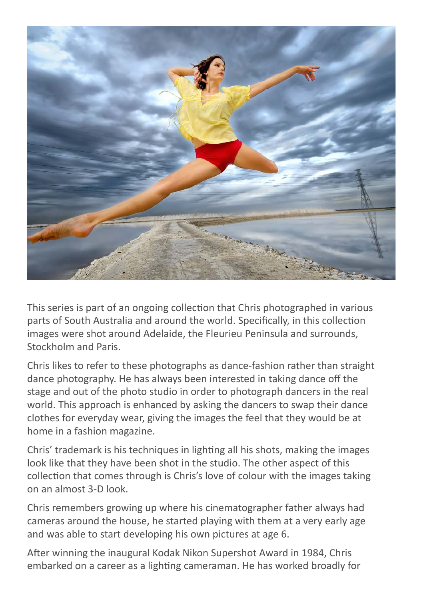

This series is part of an ongoing collection that Chris photographed in various parts of South Australia and around the world. Specifically, in this collection images were shot around Adelaide, the Fleurieu Peninsula and surrounds, Stockholm and Paris.

Chris likes to refer to these photographs as dance-fashion rather than straight dance photography. He has always been interested in taking dance off the stage and out of the photo studio in order to photograph dancers in the real world. This approach is enhanced by asking the dancers to swap their dance clothes for everyday wear, giving the images the feel that they would be at home in a fashion magazine.

Chris' trademark is his techniques in lighting all his shots, making the images look like that they have been shot in the studio. The other aspect of this collection that comes through is Chris's love of colour with the images taking on an almost 3-D look.

Chris remembers growing up where his cinematographer father always had cameras around the house, he started playing with them at a very early age and was able to start developing his own pictures at age 6.

After winning the inaugural Kodak Nikon Supershot Award in 1984, Chris embarked on a career as a lighting cameraman. He has worked broadly for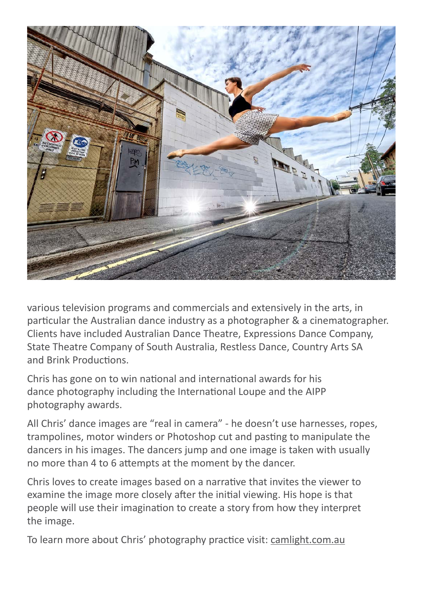

various television programs and commercials and extensively in the arts, in particular the Australian dance industry as a photographer & a cinematographer. Clients have included Australian Dance Theatre, Expressions Dance Company, State Theatre Company of South Australia, Restless Dance, Country Arts SA and Brink Productions.

Chris has gone on to win national and international awards for his dance photography including the International Loupe and the AIPP photography awards.

All Chris' dance images are "real in camera" - he doesn't use harnesses, ropes, trampolines, motor winders or Photoshop cut and pasting to manipulate the dancers in his images. The dancers jump and one image is taken with usually no more than 4 to 6 attempts at the moment by the dancer.

Chris loves to create images based on a narrative that invites the viewer to examine the image more closely after the initial viewing. His hope is that people will use their imagination to create a story from how they interpret the image.

To learn more about Chris' photography practice visit: camlight.com.au